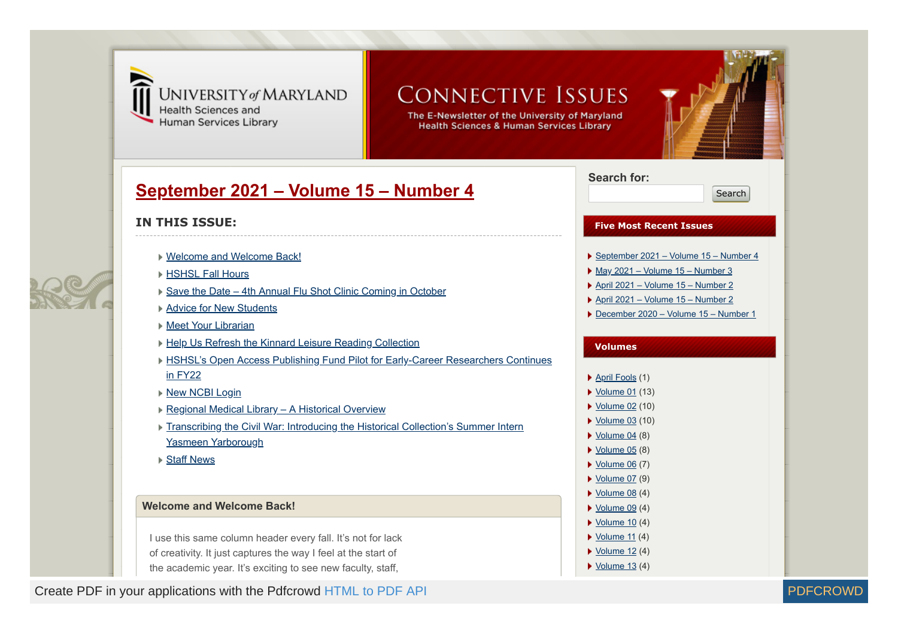

# UNIVERSITY of MARYLAND **Health Sciences and**

Human Services Library

# **CONNECTIVE ISSUES**

The E-Newsletter of the University of Maryland **Health Sciences & Human Services Library** 

# **[September 2021 – Volume 15 – Number 4](https://www2.hshsl.umaryland.edu/newsletter/?p=3125)**



# **IN THIS ISSUE:**

- [Welcome and Welcome Back!](#page-0-0)
- ▶ [HSHSL Fall Hours](#page-1-0)
- [Save the Date 4th Annual Flu Shot Clinic Coming in October](#page-2-0)
- **▶ [Advice for New Students](#page-3-0)**
- ▶ [Meet Your Librarian](#page-4-0)
- ▶ [Help Us Refresh the Kinnard Leisure Reading Collection](#page-5-0)
- ▶ [HSHSL's Open Access Publishing Fund Pilot for Early-Career Researchers Continues](#page-6-0) in FY22
- ▶ [New NCBI Login](#page-7-0)
- ▶ [Regional Medical Library A Historical Overview](#page-7-1)
- ▶ [Transcribing the Civil War: Introducing the Historical Collection's Summer Intern](#page-8-0) Yasmeen Yarborough
- **▶ [Staff News](#page-9-0)**

## <span id="page-0-0"></span>**Welcome and Welcome Back!**

I use this same column header every fall. It's not for lack of creativity. It just captures the way I feel at the start of the academic year. It's exciting to see new faculty, staff,

Create PDF in your applications with the Pdfcrowd [HTML to PDF API](https://pdfcrowd.com/doc/api/?ref=pdf) PDF API [PDFCROWD](https://pdfcrowd.com/?ref=pdf) NUMBER AND THE RESERVENT OF THE POST OF THE RESERVENT OF THE POST OF THE POST OF THE POST OF THE POST OF THE POST OF THE POST OF THE POST O

# **Search for:**

Search

## **Five Most Recent Issues**

- [September 2021 Volume 15 Number 4](https://www2.hshsl.umaryland.edu/newsletter/?p=3125)
- $\blacktriangleright$  [May 2021 Volume 15 Number 3](https://www2.hshsl.umaryland.edu/newsletter/?p=3081)
- ▶ [April 2021 Volume 15 Number 2](https://www2.hshsl.umaryland.edu/newsletter/?p=2995)
- [April 2021 Volume 15 Number 2](https://www2.hshsl.umaryland.edu/newsletter/?p=2992)
- ▶ [December 2020 Volume 15 Number 1](https://www2.hshsl.umaryland.edu/newsletter/?p=2951)

#### **Volumes**

- ▶ [April Fools](https://www2.hshsl.umaryland.edu/newsletter/?cat=20) (1)
- ▶ [Volume 01](https://www2.hshsl.umaryland.edu/newsletter/?cat=4) (13)
- ▶ [Volume 02](https://www2.hshsl.umaryland.edu/newsletter/?cat=5) (10)
- ▶ [Volume 03](https://www2.hshsl.umaryland.edu/newsletter/?cat=6) (10)
- $\blacktriangleright$  [Volume 04](https://www2.hshsl.umaryland.edu/newsletter/?cat=8) (8)
- $\blacktriangleright$  [Volume 05](https://www2.hshsl.umaryland.edu/newsletter/?cat=9) (8)
- $\blacktriangleright$  [Volume 06](https://www2.hshsl.umaryland.edu/newsletter/?cat=10) (7)
- $\blacktriangleright$  [Volume 07](https://www2.hshsl.umaryland.edu/newsletter/?cat=11) (9)
- $\blacktriangleright$  [Volume 08](https://www2.hshsl.umaryland.edu/newsletter/?cat=12) (4)
- $\blacktriangleright$  [Volume 09](https://www2.hshsl.umaryland.edu/newsletter/?cat=13) (4)
- $\blacktriangleright$  [Volume 10](https://www2.hshsl.umaryland.edu/newsletter/?cat=14) (4)
- $\triangleright$  <u>[Volume 11](https://www2.hshsl.umaryland.edu/newsletter/?cat=15)</u> (4)  $\blacktriangleright$  [Volume 12](https://www2.hshsl.umaryland.edu/newsletter/?cat=16) (4)
- 
- $\blacktriangleright$  [Volume 13](https://www2.hshsl.umaryland.edu/newsletter/?cat=17) (4)

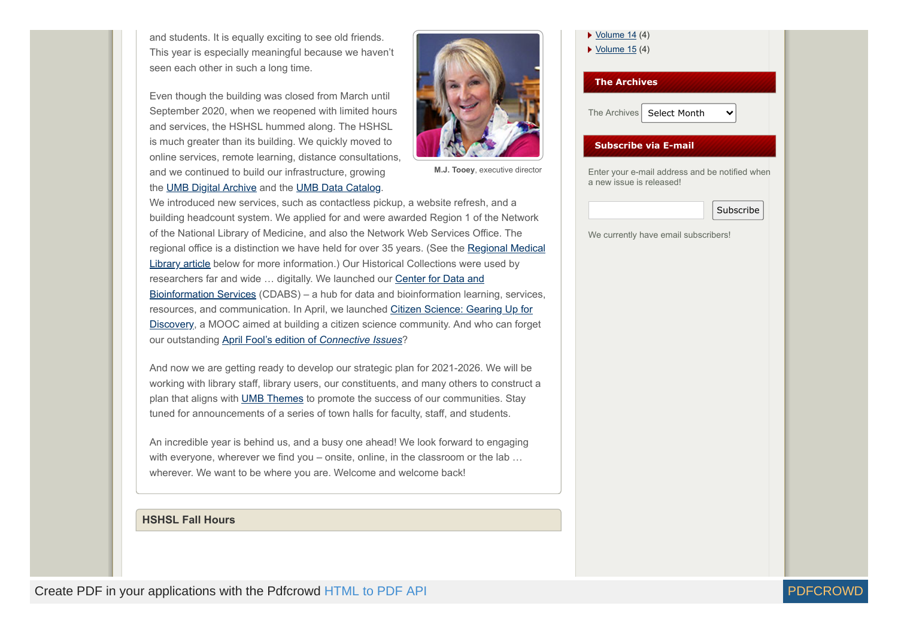and students. It is equally exciting to see old friends. This year is especially meaningful because we haven't seen each other in such a long time.

Even though the building was closed from March until September 2020, when we reopened with limited hours and services, the HSHSL hummed along. The HSHSL is much greater than its building. We quickly moved to online services, remote learning, distance consultations, and we continued to build our infrastructure, growing the [UMB Digital Archive](https://archive.hshsl.umaryland.edu/) and the [UMB Data Catalog](https://datacatalog.hshsl.umaryland.edu/).



**M.J. Tooey**, executive director

We introduced new services, such as contactless pickup, a website refresh, and a building headcount system. We applied for and were awarded Region 1 of the Network of the National Library of Medicine, and also the Network Web Services Office. The [regional office is a distinction we have held for over 35 years. \(See the Regional Medical](#page-7-1) Library article below for more information.) Our Historical Collections were used by researchers far and wide ... digitally. We launched our Center for Data and Bioinformation Services (CDABS) – a hub for data and bioinformation learning, services, [resources, and communication. In April, we launched Citizen Science: Gearing Up for](#page-4-0) Discovery, a MOOC aimed at building a citizen science community. And who can forget our outstanding [April Fool's edition of](https://www2.hshsl.umaryland.edu/newsletter/?p=2992) *Connective Issues*?

And now we are getting ready to develop our strategic plan for 2021-2026. We will be working with library staff, library users, our constituents, and many others to construct a plan that aligns with [UMB Themes](https://www.umaryland.edu/about-umb/strategic-plan/themes/) to promote the success of our communities. Stay tuned for announcements of a series of town halls for faculty, staff, and students.

An incredible year is behind us, and a busy one ahead! We look forward to engaging with everyone, wherever we find you – onsite, online, in the classroom or the lab ... wherever. We want to be where you are. Welcome and welcome back!

### <span id="page-1-0"></span>**HSHSL Fall Hours**

| $\triangleright$ Volume 14 (4)<br>$\triangleright$ Volume 15 (4)           |  |  |
|----------------------------------------------------------------------------|--|--|
| <b>The Archives</b>                                                        |  |  |
| The Archives<br>Select Month                                               |  |  |
| <b>Subscribe via E-mail</b>                                                |  |  |
| Enter your e-mail address and be notified when<br>a new issue is released! |  |  |
| Subscribe                                                                  |  |  |

We currently have email subscribers!

Create PDF in your applications with the Pdfcrowd [HTML to PDF API](https://pdfcrowd.com/doc/api/?ref=pdf) [PDFCROWD](https://pdfcrowd.com/?ref=pdf) AND THE RESERVENT OF THE RESERVENT OF THE RESERVENT OF THE RESERVENT OF THE RESERVENT OF THE RESERVENT OF THE RESERVENT OF THE RESERVENT OF THE RES

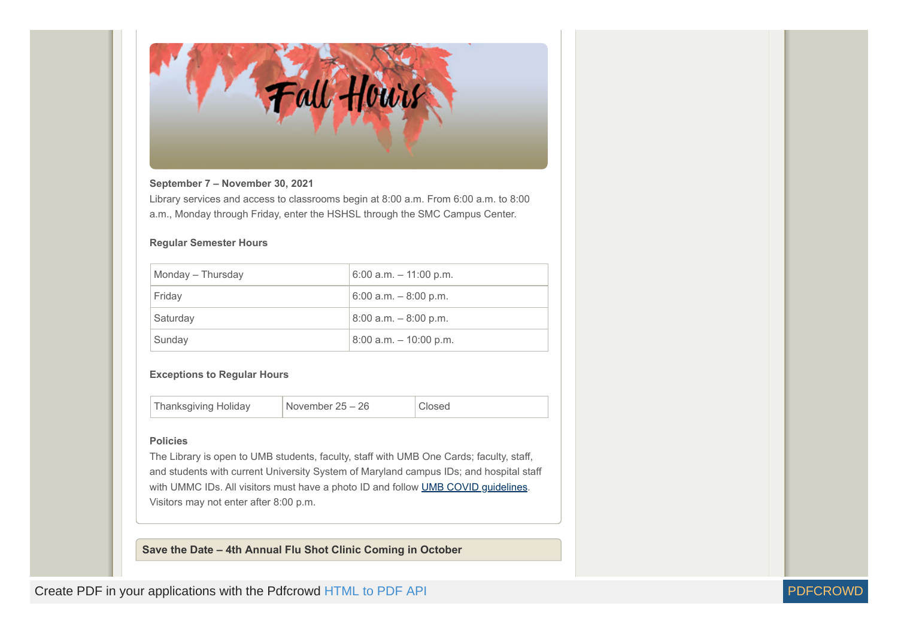

#### **September 7 – November 30, 2021**

Library services and access to classrooms begin at 8:00 a.m. From 6:00 a.m. to 8:00 a.m., Monday through Friday, enter the HSHSL through the SMC Campus Center.

#### **Regular Semester Hours**

| Monday - Thursday | $6:00$ a.m. $-11:00$ p.m. |
|-------------------|---------------------------|
| Friday            | $6:00$ a.m. $-8:00$ p.m.  |
| Saturday          | $8:00$ a.m. $-8:00$ p.m.  |
| Sunday            | $8:00$ a.m. $-10:00$ p.m. |

#### **Exceptions to Regular Hours**

Thanksgiving Holiday | November 25 – 26 | Closed

#### **Policies**

The Library is open to UMB students, faculty, staff with UMB One Cards; faculty, staff, and students with current University System of Maryland campus IDs; and hospital staff with UMMC IDs. All visitors must have a photo ID and follow [UMB COVID guidelines](https://www.umaryland.edu/coronavirus/). Visitors may not enter after 8:00 p.m.

<span id="page-2-0"></span>**Save the Date – 4th Annual Flu Shot Clinic Coming in October**

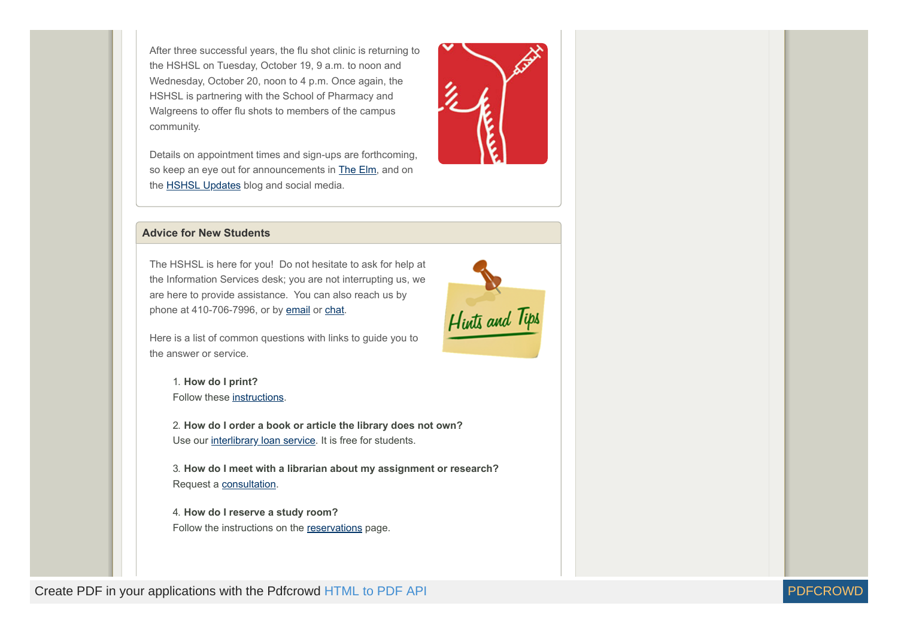After three successful years, the flu shot clinic is returning to the HSHSL on Tuesday, October 19, 9 a.m. to noon and Wednesday, October 20, noon to 4 p.m. Once again, the HSHSL is partnering with the School of Pharmacy and Walgreens to offer flu shots to members of the campus community.

Details on appointment times and sign-ups are forthcoming, so keep an eye out for announcements in [The Elm,](https://elm.umaryland.edu/) and on the [HSHSL Updates](https://www2.hshsl.umaryland.edu/hslupdates) blog and social media.

<span id="page-3-0"></span>

The HSHSL is here for you! Do not hesitate to ask for help at the Information Services desk; you are not interrupting us, we are here to provide assistance. You can also reach us by phone at 410-706-7996, or by [email](mailto:hshsl@umaryland.edu) or [chat](https://answers.hshsl.umaryland.edu/).



1. **How do I print?** Follow these [instructions](https://www.hshsl.umaryland.edu/services/publiccomputing.cfm).

2. **How do I order a book or article the library does not own?** Use our [interlibrary loan service.](https://www.docdel.umaryland.edu/) It is free for students.

3. **How do I meet with a librarian about my assignment or research?** Request a [consultation](https://www.hshsl.umaryland.edu/research/consultations.cfm).

4. **How do I reserve a study room?** Follow the instructions on the [reservations](https://cal.hshsl.umaryland.edu/booking/studyrooms) page.





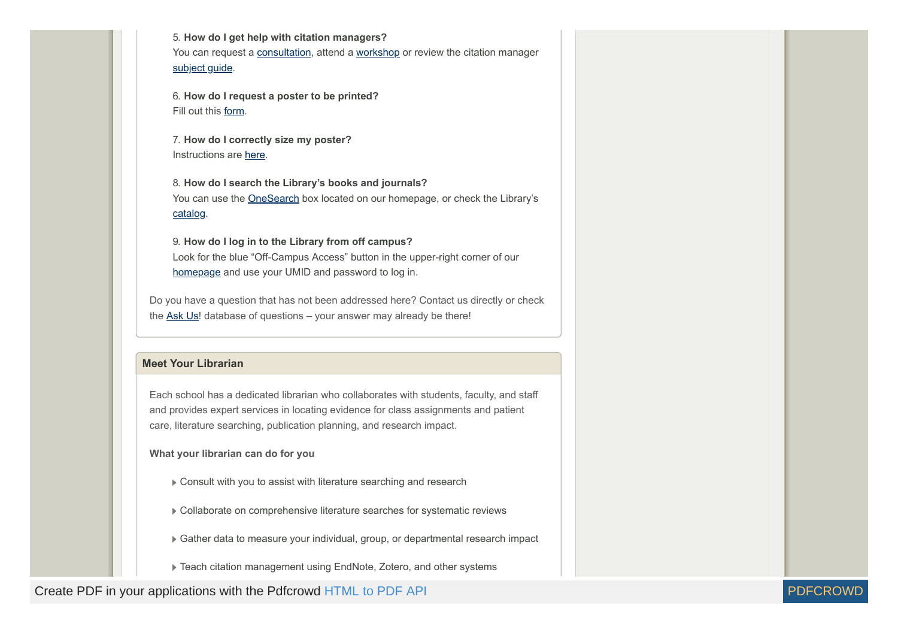5. **How do I get help with citation managers?** You can request a [consultation,](https://www.hshsl.umaryland.edu/research/consultations.cfm) attend a [workshop](https://www2.hshsl.umaryland.edu/hshsl/workshops/) or review the citation manager subject quide.

6. **How do I request a poster to be printed?** Fill out this [form](https://www2.hshsl.umaryland.edu/poster/).

7. **How do I correctly size my poster?** Instructions are [here.](https://guides.hshsl.umaryland.edu/posterprinting/size)

8. **How do I search the Library's books and journals?** You can use the [OneSearch](https://www.hshsl.umaryland.edu/) box located on our homepage, or check the Library's [catalog.](https://catalog.umd.edu/)

9. **How do I log in to the Library from off campus?** Look for the blue "Off-Campus Access" button in the upper-right corner of our [homepage](https://www.hshsl.umaryland.edu/) and use your UMID and password to log in.

Do you have a question that has not been addressed here? Contact us directly or check the [Ask Us](https://answers.hshsl.umaryland.edu/)! database of questions – your answer may already be there!

#### <span id="page-4-0"></span>**Meet Your Librarian**

Each school has a dedicated librarian who collaborates with students, faculty, and staff and provides expert services in locating evidence for class assignments and patient care, literature searching, publication planning, and research impact.

**What your librarian can do for you**

Consult with you to assist with literature searching and research

Collaborate on comprehensive literature searches for systematic reviews

Gather data to measure your individual, group, or departmental research impact

▶ Teach citation management using EndNote, Zotero, and other systems

Create PDF in your applications with the Pdfcrowd [HTML to PDF API](https://pdfcrowd.com/doc/api/?ref=pdf) [PDFCROWD](https://pdfcrowd.com/?ref=pdf) AT ALL THE POST OF A PIDEO AT A PUBLICATE PDFCROWD AT A PUBLICATE OF A PIDEO AT A PUBLICATE OF A PUBLICATE OF A PUBLICATE OF A PUBLICATE OF A PUBLI

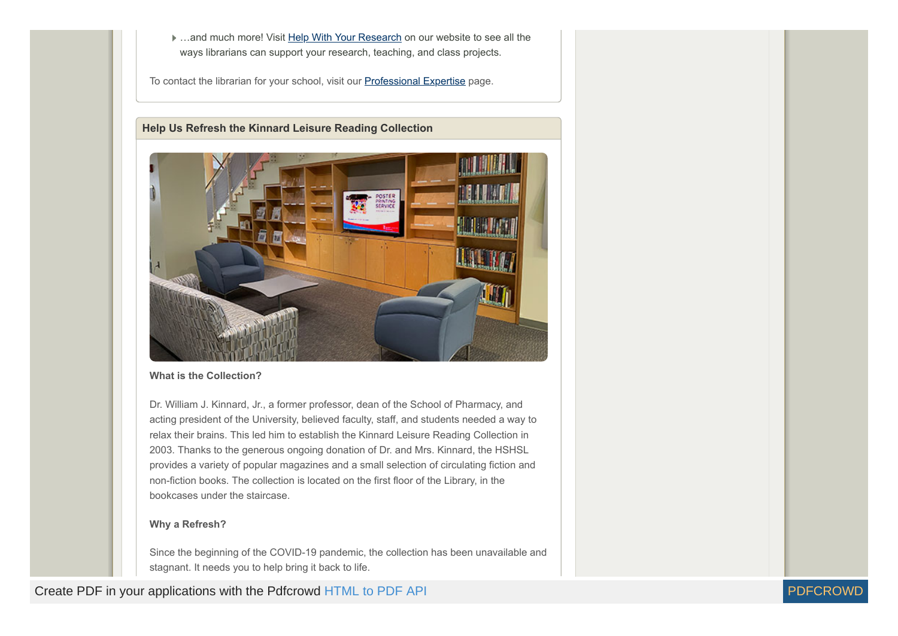**■ ...and much more! Visit [Help With Your Research](https://www.hshsl.umaryland.edu/services/researchservices.cfm#Assistance) on our website to see all the** ways librarians can support your research, teaching, and class projects.

To contact the librarian for your school, visit our [Professional Expertise](https://www.hshsl.umaryland.edu/assistance/expertise.cfm) page.

#### <span id="page-5-0"></span>**Help Us Refresh the Kinnard Leisure Reading Collection**



#### **What is the Collection?**

Dr. William J. Kinnard, Jr., a former professor, dean of the School of Pharmacy, and acting president of the University, believed faculty, staff, and students needed a way to relax their brains. This led him to establish the Kinnard Leisure Reading Collection in 2003. Thanks to the generous ongoing donation of Dr. and Mrs. Kinnard, the HSHSL provides a variety of popular magazines and a small selection of circulating fiction and non-fiction books. The collection is located on the first floor of the Library, in the bookcases under the staircase.

#### **Why a Refresh?**

Since the beginning of the COVID-19 pandemic, the collection has been unavailable and stagnant. It needs you to help bring it back to life.

Create PDF in your applications with the Pdfcrowd [HTML to PDF API](https://pdfcrowd.com/doc/api/?ref=pdf) PDF API [PDFCROWD](https://pdfcrowd.com/?ref=pdf) AT A RESERVENT OF A RESERVENT OF A RESERVENT OF A RESERVENT OF A RESERVENT OF A RESERVENT OF A RESERVENT OF A RESERVENT OF A RESERVENT OF A

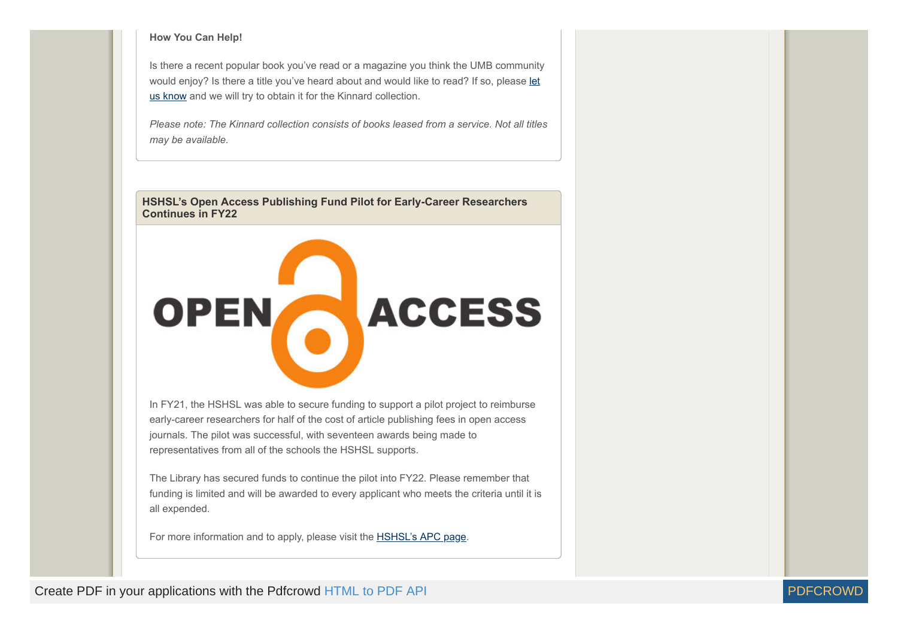#### **How You Can Help!**

Is there a recent popular book you've read or a magazine you think the UMB community [would enjoy? Is there a title you've heard about and would like to read? If so, please let](https://umaryland.az1.qualtrics.com/jfe/form/SV_cNmzfMKvsbdvyHI) us know and we will try to obtain it for the Kinnard collection.

*Please note: The Kinnard collection consists of books leased from a service. Not all titles may be available.*

<span id="page-6-0"></span>**HSHSL's Open Access Publishing Fund Pilot for Early-Career Researchers Continues in FY22**



In FY21, the HSHSL was able to secure funding to support a pilot project to reimburse early-career researchers for half of the cost of article publishing fees in open access journals. The pilot was successful, with seventeen awards being made to representatives from all of the schools the HSHSL supports.

The Library has secured funds to continue the pilot into FY22. Please remember that funding is limited and will be awarded to every applicant who meets the criteria until it is all expended.

For more information and to apply, please visit the **HSHSL's APC page**.

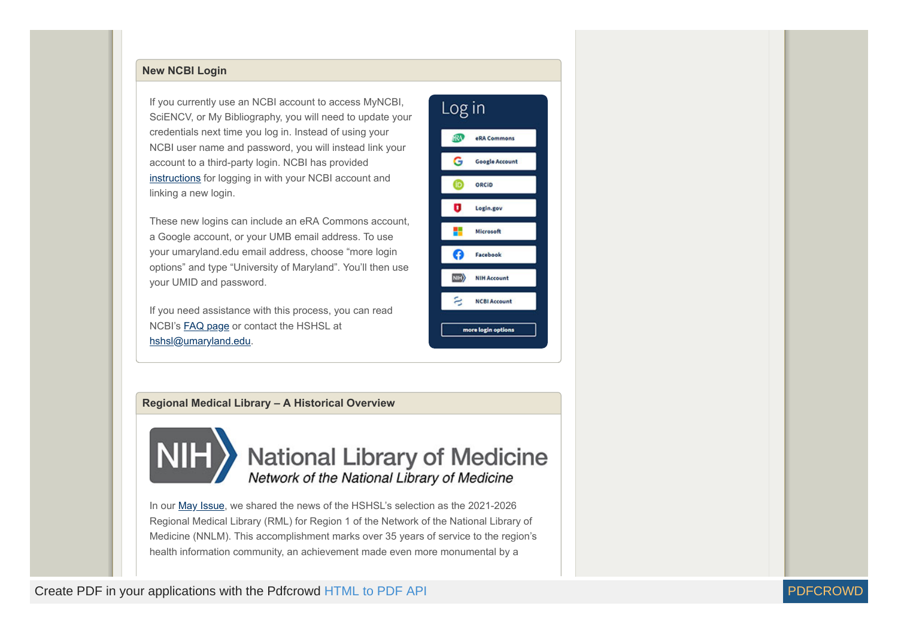# <span id="page-7-0"></span>**New NCBI Login**

If you currently use an NCBI account to access MyNCBI, SciENCV, or My Bibliography, you will need to update your credentials next time you log in. Instead of using your NCBI user name and password, you will instead link your account to a third-party login. NCBI has provided [instructions](https://ncbiinsights.ncbi.nlm.nih.gov/ncbi-login-retirement-faqs/#linking-3rd) for logging in with your NCBI account and linking a new login.

These new logins can include an eRA Commons account, a Google account, or your UMB email address. To use your umaryland.edu email address, choose "more login options" and type "University of Maryland". You'll then use your UMID and password.

If you need assistance with this process, you can read NCBI's [FAQ page](https://ncbiinsights.ncbi.nlm.nih.gov/ncbi-login-retirement-faqs/) or contact the HSHSL at [hshsl@umaryland.edu](mailto:hshsl@umaryland.edu).

| Log in             |                       |  |
|--------------------|-----------------------|--|
| ΩÑ,                | eRA Commons           |  |
| G                  | <b>Google Account</b> |  |
| ID)                | ORCID                 |  |
| ٠                  | Login.gov             |  |
|                    | Microsoft             |  |
| ß                  | Facebook              |  |
| $\ket{\mathbf{m}}$ | <b>NIH Account</b>    |  |
| a                  | <b>NCBI Account</b>   |  |
| more login options |                       |  |

#### <span id="page-7-1"></span>**Regional Medical Library – A Historical Overview**



National Library of Medicine Network of the National Library of Medicine

In our [May Issue](https://www2.hshsl.umaryland.edu/newsletter/?p=3081#01), we shared the news of the HSHSL's selection as the 2021-2026 Regional Medical Library (RML) for Region 1 of the Network of the National Library of Medicine (NNLM). This accomplishment marks over 35 years of service to the region's health information community, an achievement made even more monumental by a

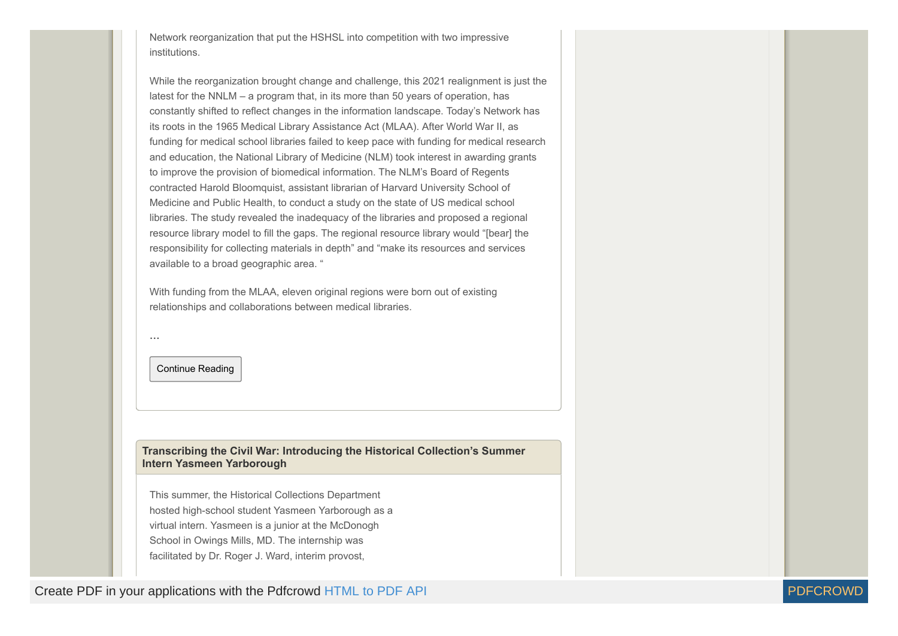Network reorganization that put the HSHSL into competition with two impressive institutions.

While the reorganization brought change and challenge, this 2021 realignment is just the latest for the NNLM – a program that, in its more than 50 years of operation, has constantly shifted to reflect changes in the information landscape. Today's Network has its roots in the 1965 Medical Library Assistance Act (MLAA). After World War II, as funding for medical school libraries failed to keep pace with funding for medical research and education, the National Library of Medicine (NLM) took interest in awarding grants to improve the provision of biomedical information. The NLM's Board of Regents contracted Harold Bloomquist, assistant librarian of Harvard University School of Medicine and Public Health, to conduct a study on the state of US medical school libraries. The study revealed the inadequacy of the libraries and proposed a regional resource library model to fill the gaps. The regional resource library would "[bear] the responsibility for collecting materials in depth" and "make its resources and services available to a broad geographic area. "

With funding from the MLAA, eleven original regions were born out of existing relationships and collaborations between medical libraries.

Continue Reading

**…**

<span id="page-8-0"></span>**Transcribing the Civil War: Introducing the Historical Collection's Summer Intern Yasmeen Yarborough**

This summer, the Historical Collections Department hosted high-school student Yasmeen Yarborough as a virtual intern. Yasmeen is a junior at the McDonogh School in Owings Mills, MD. The internship was facilitated by Dr. Roger J. Ward, interim provost,

Create PDF in your applications with the Pdfcrowd [HTML to PDF API](https://pdfcrowd.com/doc/api/?ref=pdf) [PDFCROWD](https://pdfcrowd.com/?ref=pdf) AND THE RESERVENT OF THE RESERVENT OF THE PDFCROWD AT A RESERVENT OF THE POST OF THE POST OF THE POST OF THE POST OF THE POST OF THE POST OF THE PO

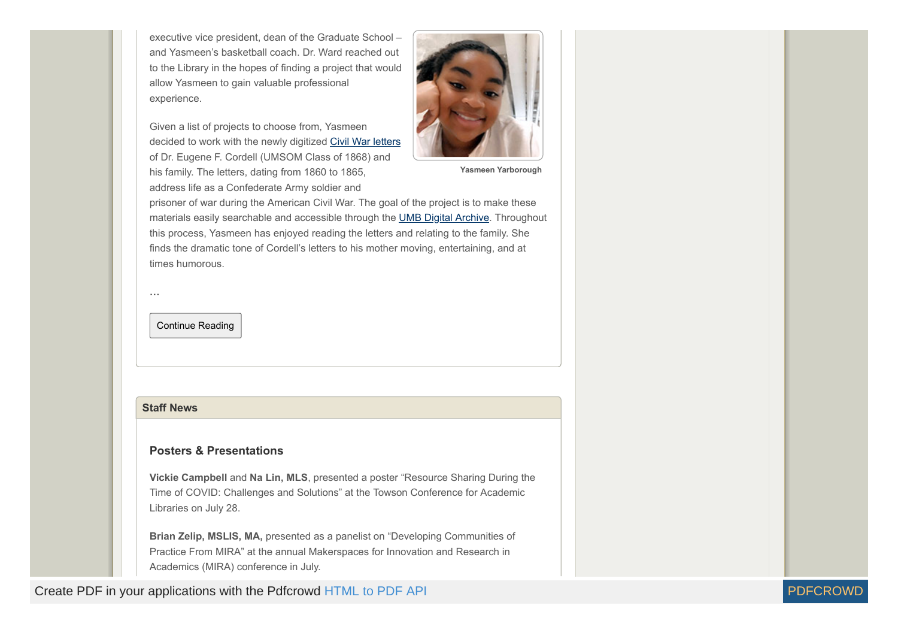executive vice president, dean of the Graduate School – and Yasmeen's basketball coach. Dr. Ward reached out to the Library in the hopes of finding a project that would allow Yasmeen to gain valuable professional experience.

Given a list of projects to choose from, Yasmeen decided to work with the newly digitized [Civil War letters](https://archive.hshsl.umaryland.edu/handle/10713/16377) of Dr. Eugene F. Cordell (UMSOM Class of 1868) and his family. The letters, dating from 1860 to 1865, address life as a Confederate Army soldier and



**Yasmeen Yarborough**

prisoner of war during the American Civil War. The goal of the project is to make these materials easily searchable and accessible through the [UMB Digital Archive](https://archive.hshsl.umaryland.edu/). Throughout this process, Yasmeen has enjoyed reading the letters and relating to the family. She finds the dramatic tone of Cordell's letters to his mother moving, entertaining, and at times humorous.

Continue Reading

#### <span id="page-9-0"></span>**Staff News**

**…**

## **Posters & Presentations**

**Vickie Campbell** and **Na Lin, MLS**, presented a poster "Resource Sharing During the Time of COVID: Challenges and Solutions" at the Towson Conference for Academic Libraries on July 28.

**Brian Zelip, MSLIS, MA,** presented as a panelist on "Developing Communities of Practice From MIRA" at the annual Makerspaces for Innovation and Research in Academics (MIRA) conference in July.

Create PDF in your applications with the Pdfcrowd [HTML to PDF API](https://pdfcrowd.com/doc/api/?ref=pdf) [PDFCROWD](https://pdfcrowd.com/?ref=pdf) AND THE RESERVENT OF THE RESERVENT OF THE PDFCROWD AT A RESERVENT OF THE POST OF THE POST OF THE POST OF THE POST OF THE POST OF THE POST OF THE PO